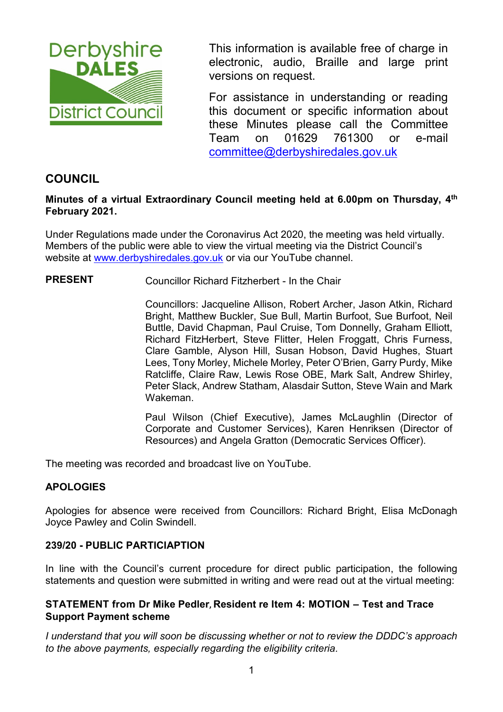

This information is available free of charge in electronic, audio, Braille and large print versions on request.

For assistance in understanding or reading this document or specific information about these Minutes please call the Committee Team on 01629 761300 or e-mail [committee@derbyshiredales.gov.uk](mailto:brian.evans@derbyshiredales.gov.uk) 

# **COUNCIL**

### **Minutes of a virtual Extraordinary Council meeting held at 6.00pm on Thursday, 4th February 2021.**

Under Regulations made under the Coronavirus Act 2020, the meeting was held virtually. Members of the public were able to view the virtual meeting via the District Council's website at [www.derbyshiredales.gov.uk](http://www.derbyshiredales.gov.uk/) or via our YouTube channel.

### **PRESENT** Councillor Richard Fitzherbert - In the Chair

Councillors: Jacqueline Allison, Robert Archer, Jason Atkin, Richard Bright, Matthew Buckler, Sue Bull, Martin Burfoot, Sue Burfoot, Neil Buttle, David Chapman, Paul Cruise, Tom Donnelly, Graham Elliott, Richard FitzHerbert, Steve Flitter, Helen Froggatt, Chris Furness, Clare Gamble, Alyson Hill, Susan Hobson, David Hughes, Stuart Lees, Tony Morley, Michele Morley, Peter O'Brien, Garry Purdy, Mike Ratcliffe, Claire Raw, Lewis Rose OBE, Mark Salt, Andrew Shirley, Peter Slack, Andrew Statham, Alasdair Sutton, Steve Wain and Mark Wakeman.

Paul Wilson (Chief Executive), James McLaughlin (Director of Corporate and Customer Services), Karen Henriksen (Director of Resources) and Angela Gratton (Democratic Services Officer).

The meeting was recorded and broadcast live on YouTube.

### **APOLOGIES**

Apologies for absence were received from Councillors: Richard Bright, Elisa McDonagh Joyce Pawley and Colin Swindell.

#### **239/20 - PUBLIC PARTICIAPTION**

In line with the Council's current procedure for direct public participation, the following statements and question were submitted in writing and were read out at the virtual meeting:

### **STATEMENT from Dr Mike Pedler, Resident re Item 4: MOTION – Test and Trace Support Payment scheme**

*I understand that you will soon be discussing whether or not to review the DDDC's approach to the above payments, especially regarding the eligibility criteria.*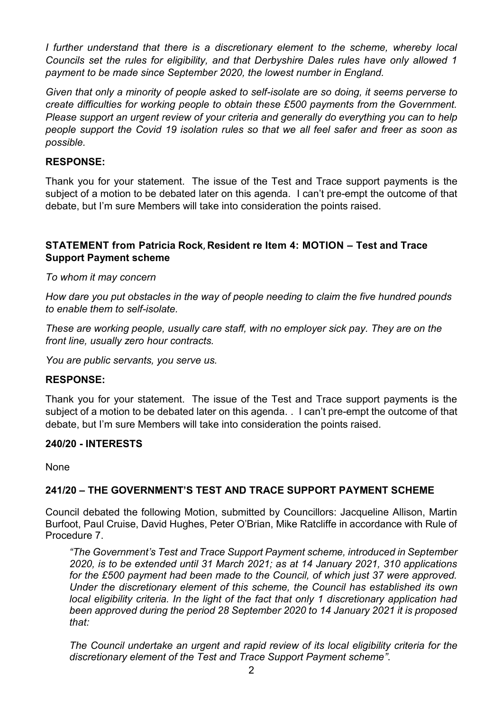*I further understand that there is a discretionary element to the scheme, whereby local Councils set the rules for eligibility, and that Derbyshire Dales rules have only allowed 1 payment to be made since September 2020, the lowest number in England.*

*Given that only a minority of people asked to self-isolate are so doing, it seems perverse to create difficulties for working people to obtain these £500 payments from the Government. Please support an urgent review of your criteria and generally do everything you can to help people support the Covid 19 isolation rules so that we all feel safer and freer as soon as possible.*

### **RESPONSE:**

Thank you for your statement. The issue of the Test and Trace support payments is the subject of a motion to be debated later on this agenda. I can't pre-empt the outcome of that debate, but I'm sure Members will take into consideration the points raised.

### **STATEMENT from Patricia Rock, Resident re Item 4: MOTION – Test and Trace Support Payment scheme**

*To whom it may concern*

*How dare you put obstacles in the way of people needing to claim the five hundred pounds to enable them to self-isolate.*

*These are working people, usually care staff, with no employer sick pay. They are on the front line, usually zero hour contracts.*

*You are public servants, you serve us.* 

### **RESPONSE:**

Thank you for your statement. The issue of the Test and Trace support payments is the subject of a motion to be debated later on this agenda. . I can't pre-empt the outcome of that debate, but I'm sure Members will take into consideration the points raised.

#### **240/20 - INTERESTS**

None

### **241/20 – THE GOVERNMENT'S TEST AND TRACE SUPPORT PAYMENT SCHEME**

Council debated the following Motion, submitted by Councillors: Jacqueline Allison, Martin Burfoot, Paul Cruise, David Hughes, Peter O'Brian, Mike Ratcliffe in accordance with Rule of Procedure 7.

*"The Government's Test and Trace Support Payment scheme, introduced in September 2020, is to be extended until 31 March 2021; as at 14 January 2021, 310 applications for the £500 payment had been made to the Council, of which just 37 were approved. Under the discretionary element of this scheme, the Council has established its own local eligibility criteria. In the light of the fact that only 1 discretionary application had been approved during the period 28 September 2020 to 14 January 2021 it is proposed that:*

*The Council undertake an urgent and rapid review of its local eligibility criteria for the discretionary element of the Test and Trace Support Payment scheme"*.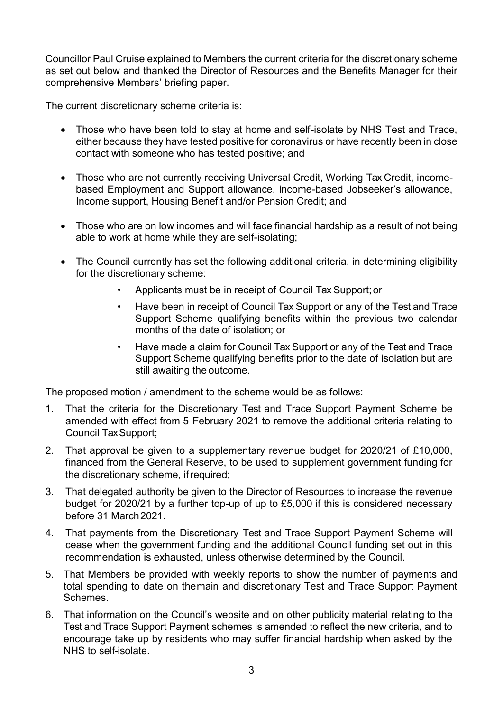Councillor Paul Cruise explained to Members the current criteria for the discretionary scheme as set out below and thanked the Director of Resources and the Benefits Manager for their comprehensive Members' briefing paper.

The current discretionary scheme criteria is:

- Those who have been told to stay at home and self-isolate by NHS Test and Trace, either because they have tested positive for coronavirus or have recently been in close contact with someone who has tested positive; and
- Those who are not currently receiving Universal Credit, Working Tax Credit, incomebased Employment and Support allowance, income-based Jobseeker's allowance, Income support, Housing Benefit and/or Pension Credit; and
- Those who are on low incomes and will face financial hardship as a result of not being able to work at home while they are self-isolating;
- The Council currently has set the following additional criteria, in determining eligibility for the discretionary scheme:
	- Applicants must be in receipt of Council Tax Support;or
	- Have been in receipt of Council Tax Support or any of the Test and Trace Support Scheme qualifying benefits within the previous two calendar months of the date of isolation; or
	- Have made a claim for Council Tax Support or any of the Test and Trace Support Scheme qualifying benefits prior to the date of isolation but are still awaiting the outcome.

The proposed motion / amendment to the scheme would be as follows:

- 1. That the criteria for the Discretionary Test and Trace Support Payment Scheme be amended with effect from 5 February 2021 to remove the additional criteria relating to Council TaxSupport;
- 2. That approval be given to a supplementary revenue budget for 2020/21 of £10,000, financed from the General Reserve, to be used to supplement government funding for the discretionary scheme, ifrequired;
- 3. That delegated authority be given to the Director of Resources to increase the revenue budget for 2020/21 by a further top-up of up to £5,000 if this is considered necessary before 31 March 2021
- 4. That payments from the Discretionary Test and Trace Support Payment Scheme will cease when the government funding and the additional Council funding set out in this recommendation is exhausted, unless otherwise determined by the Council.
- 5. That Members be provided with weekly reports to show the number of payments and total spending to date on themain and discretionary Test and Trace Support Payment Schemes.
- 6. That information on the Council's website and on other publicity material relating to the Test and Trace Support Payment schemes is amended to reflect the new criteria, and to encourage take up by residents who may suffer financial hardship when asked by the NHS to self-isolate.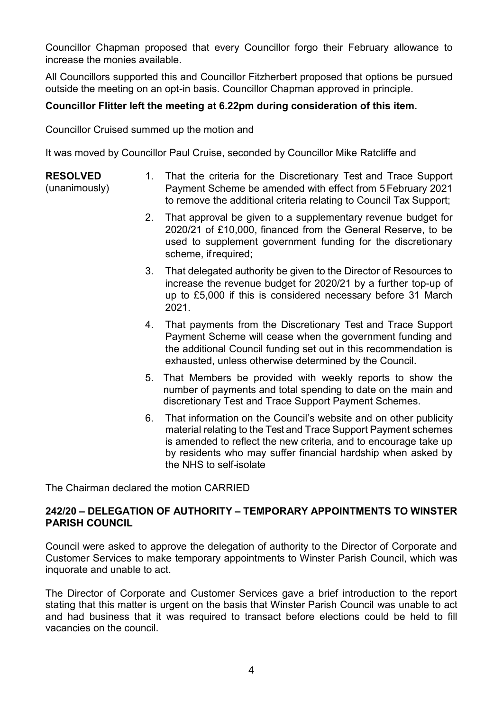Councillor Chapman proposed that every Councillor forgo their February allowance to increase the monies available.

All Councillors supported this and Councillor Fitzherbert proposed that options be pursued outside the meeting on an opt-in basis. Councillor Chapman approved in principle.

## **Councillor Flitter left the meeting at 6.22pm during consideration of this item.**

Councillor Cruised summed up the motion and

It was moved by Councillor Paul Cruise, seconded by Councillor Mike Ratcliffe and

#### **RESOLVED**

(unanimously)

- 1. That the criteria for the Discretionary Test and Trace Support Payment Scheme be amended with effect from 5February 2021 to remove the additional criteria relating to Council Tax Support;
- 2. That approval be given to a supplementary revenue budget for 2020/21 of £10,000, financed from the General Reserve, to be used to supplement government funding for the discretionary scheme, ifrequired;
- 3. That delegated authority be given to the Director of Resources to increase the revenue budget for 2020/21 by a further top-up of up to £5,000 if this is considered necessary before 31 March 2021.
- 4. That payments from the Discretionary Test and Trace Support Payment Scheme will cease when the government funding and the additional Council funding set out in this recommendation is exhausted, unless otherwise determined by the Council.
- 5. That Members be provided with weekly reports to show the number of payments and total spending to date on the main and discretionary Test and Trace Support Payment Schemes.
- 6. That information on the Council's website and on other publicity material relating to the Test and Trace Support Payment schemes is amended to reflect the new criteria, and to encourage take up by residents who may suffer financial hardship when asked by the NHS to self-isolate

The Chairman declared the motion CARRIED

### **242/20 – DELEGATION OF AUTHORITY – TEMPORARY APPOINTMENTS TO WINSTER PARISH COUNCIL**

Council were asked to approve the delegation of authority to the Director of Corporate and Customer Services to make temporary appointments to Winster Parish Council, which was inquorate and unable to act.

The Director of Corporate and Customer Services gave a brief introduction to the report stating that this matter is urgent on the basis that Winster Parish Council was unable to act and had business that it was required to transact before elections could be held to fill vacancies on the council.